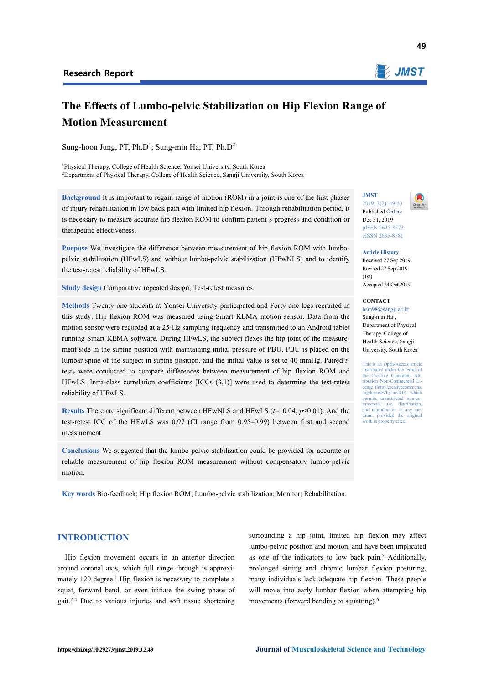

# **The Effects of Lumbo-pelvic Stabilization on Hip Flexion Range of Motion Measurement**

Sung-hoon Jung, PT, Ph.D<sup>1</sup>; Sung-min Ha, PT, Ph.D<sup>2</sup>

<sup>1</sup>Physical Therapy, College of Health Science, Yonsei University, South Korea<br><sup>2</sup>Department of Physical Therapy, College of Health Science, Sangji University <sup>2</sup>Department of Physical Therapy, College of Health Science, Sangji University, South Korea

**Background** It is important to regain range of motion (ROM) in a joint is one of the first phases of injury rehabilitation in low back pain with limited hip flexion. Through rehabilitation period, it is necessary to measure accurate hip flexion ROM to confirm patient`s progress and condition or therapeutic effectiveness.

**Purpose** We investigate the difference between measurement of hip flexion ROM with lumbopelvic stabilization (HFwLS) and without lumbo-pelvic stabilization (HFwNLS) and to identify the test-retest reliability of HFwLS.

**Study design** Comparative repeated design, Test-retest measures.

**Methods** Twenty one students at Yonsei University participated and Forty one legs recruited in this study. Hip flexion ROM was measured using Smart KEMA motion sensor. Data from the motion sensor were recorded at a 25-Hz sampling frequency and transmitted to an Android tablet running Smart KEMA software. During HFwLS, the subject flexes the hip joint of the measurement side in the supine position with maintaining initial pressure of PBU. PBU is placed on the lumbar spine of the subject in supine position, and the initial value is set to 40 mmHg. Paired *t*tests were conducted to compare differences between measurement of hip flexion ROM and HFwLS. Intra-class correlation coefficients [ICCs (3,1)] were used to determine the test-retest reliability of HFwLS.

**Results** There are significant different between HFwNLS and HFwLS (*t*=10.04; *p*<0.01). And the test-retest ICC of the HFwLS was 0.97 (CI range from 0.95–0.99) between first and second measurement.

**Conclusions** We suggested that the lumbo-pelvic stabilization could be provided for accurate or reliable measurement of hip flexion ROM measurement without compensatory lumbo-pelvic motion.

**Key words** Bio-feedback; Hip flexion ROM; Lumbo-pelvic stabilization; Monitor; Rehabilitation.

## **INTRODUCTION**

Hip flexion movement occurs in an anterior direction around coronal axis, which full range through is approximately 120 degree.<sup>1</sup> Hip flexion is necessary to complete a squat, forward bend, or even initiate the swing phase of gait.2-4 Due to various injuries and soft tissue shortening

surrounding a hip joint, limited hip flexion may affect lumbo-pelvic position and motion, and have been implicated as one of the indicators to low back pain.<sup>5</sup> Additionally, prolonged sitting and chronic lumbar flexion posturing, many individuals lack adequate hip flexion. These people will move into early lumbar flexion when attempting hip movements (forward bending or squatting).6

**JMST**  2019; 3(2): 49-53 Published Online Dec 31, 2019 pISSN 2635-8573



eISSN 2635-8581

**Article History** 

Received 27 Sep 2019 Revised 27 Sep 2019  $(1st)$ Accepted 24 Oct 2019

#### **CONTACT**

hsm98@sangji.ac.kr Sung-min Ha , Department of Physical Therapy, College of Health Science, Sangji University, South Korea

This is an Open-Access article distributed under the terms of the Creative Commons Attribution Non-Commercial License (http://creativecomm org/licenses/by-nc/4.0) which permits unrestricted non-commercial use, distribution, and reproduction in any medium, provided the original work is properly cited.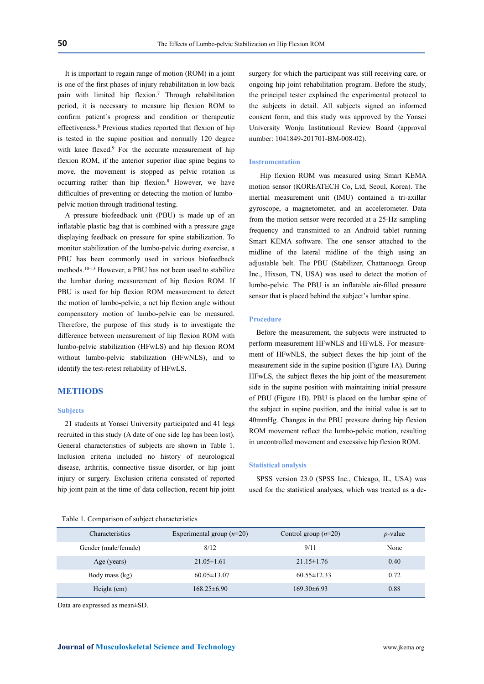It is important to regain range of motion (ROM) in a joint is one of the first phases of injury rehabilitation in low back pain with limited hip flexion.7 Through rehabilitation period, it is necessary to measure hip flexion ROM to confirm patient`s progress and condition or therapeutic effectiveness.8 Previous studies reported that flexion of hip is tested in the supine position and normally 120 degree with knee flexed.<sup>9</sup> For the accurate measurement of hip flexion ROM, if the anterior superior iliac spine begins to move, the movement is stopped as pelvic rotation is occurring rather than hip flexion.8 However, we have difficulties of preventing or detecting the motion of lumbopelvic motion through traditional testing.

A pressure biofeedback unit (PBU) is made up of an inflatable plastic bag that is combined with a pressure gage displaying feedback on pressure for spine stabilization. To monitor stabilization of the lumbo-pelvic during exercise, a PBU has been commonly used in various biofeedback methods.10-13 However, a PBU has not been used to stabilize the lumbar during measurement of hip flexion ROM. If PBU is used for hip flexion ROM measurement to detect the motion of lumbo-pelvic, a net hip flexion angle without compensatory motion of lumbo-pelvic can be measured. Therefore, the purpose of this study is to investigate the difference between measurement of hip flexion ROM with lumbo-pelvic stabilization (HFwLS) and hip flexion ROM without lumbo-pelvic stabilization (HFwNLS), and to identify the test-retest reliability of HFwLS.

# **METHODS**

#### **Subjects**

21 students at Yonsei University participated and 41 legs recruited in this study (A date of one side leg has been lost). General characteristics of subjects are shown in Table 1. Inclusion criteria included no history of neurological disease, arthritis, connective tissue disorder, or hip joint injury or surgery. Exclusion criteria consisted of reported hip joint pain at the time of data collection, recent hip joint surgery for which the participant was still receiving care, or ongoing hip joint rehabilitation program. Before the study, the principal tester explained the experimental protocol to the subjects in detail. All subjects signed an informed consent form, and this study was approved by the Yonsei University Wonju Institutional Review Board (approval number: 1041849-201701-BM-008-02).

#### **Instrumentation**

 Hip flexion ROM was measured using Smart KEMA motion sensor (KOREATECH Co, Ltd, Seoul, Korea). The inertial measurement unit (IMU) contained a tri-axillar gyroscope, a magnetometer, and an accelerometer. Data from the motion sensor were recorded at a 25-Hz sampling frequency and transmitted to an Android tablet running Smart KEMA software. The one sensor attached to the midline of the lateral midline of the thigh using an adjustable belt. The PBU (Stabilizer, Chattanooga Group Inc., Hixson, TN, USA) was used to detect the motion of lumbo-pelvic. The PBU is an inflatable air-filled pressure sensor that is placed behind the subject's lumbar spine.

#### **Procedure**

Before the measurement, the subjects were instructed to perform measurement HFwNLS and HFwLS. For measurement of HFwNLS, the subject flexes the hip joint of the measurement side in the supine position (Figure 1A). During HFwLS, the subject flexes the hip joint of the measurement side in the supine position with maintaining initial pressure of PBU (Figure 1B). PBU is placed on the lumbar spine of the subject in supine position, and the initial value is set to 40mmHg. Changes in the PBU pressure during hip flexion ROM movement reflect the lumbo-pelvic motion, resulting in uncontrolled movement and excessive hip flexion ROM.

#### **Statistical analysis**

SPSS version 23.0 (SPSS Inc., Chicago, IL, USA) was used for the statistical analyses, which was treated as a de-

| Table 1. Comparison of subject characteristics |  |  |  |
|------------------------------------------------|--|--|--|
|                                                |  |  |  |

| Characteristics      | Experimental group $(n=20)$ | Control group $(n=20)$ | $p$ -value |
|----------------------|-----------------------------|------------------------|------------|
| Gender (male/female) | 8/12                        | 9/11                   | None       |
| Age (years)          | $21.05 \pm 1.61$            | $21.15 \pm 1.76$       | 0.40       |
| Body mass (kg)       | $60.05 \pm 13.07$           | $60.55 \pm 12.33$      | 0.72       |
| Height (cm)          | $168.25 \pm 6.90$           | $169.30\pm 6.93$       | 0.88       |

Data are expressed as mean±SD.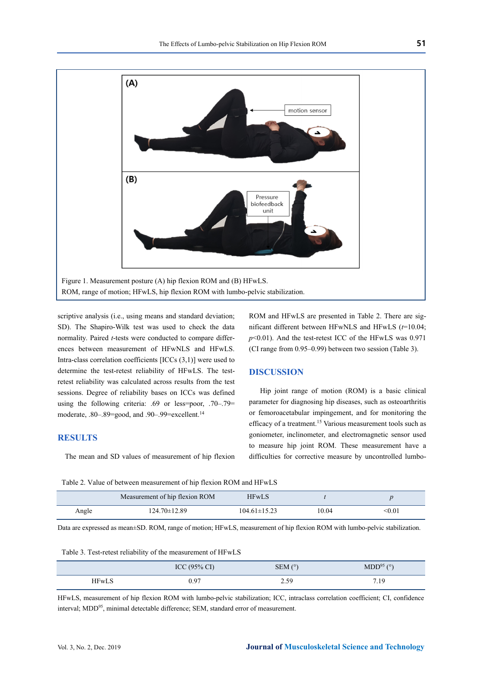

scriptive analysis (i.e., using means and standard deviation; SD). The Shapiro-Wilk test was used to check the data normality. Paired *t*-tests were conducted to compare differences between measurement of HFwNLS and HFwLS. Intra-class correlation coefficients [ICCs (3,1)] were used to determine the test-retest reliability of HFwLS. The testretest reliability was calculated across results from the test sessions. Degree of reliability bases on ICCs was defined using the following criteria: .69 or less=poor, .70–.79= moderate, .80–.89=good, and .90–.99=excellent.<sup>14</sup>

## **RESULTS**

The mean and SD values of measurement of hip flexion

ROM and HFwLS are presented in Table 2. There are significant different between HFwNLS and HFwLS (*t*=10.04; *p*<0.01). And the test-retest ICC of the HFwLS was 0.971 (CI range from 0.95–0.99) between two session (Table 3).

### **DISCUSSION**

 Hip joint range of motion (ROM) is a basic clinical parameter for diagnosing hip diseases, such as osteoarthritis or femoroacetabular impingement, and for monitoring the efficacy of a treatment.15 Various measurement tools such as goniometer, inclinometer, and electromagnetic sensor used to measure hip joint ROM. These measurement have a difficulties for corrective measure by uncontrolled lumbo-

Table 2. Value of between measurement of hip flexion ROM and HFwLS

|       | Measurement of hip flexion ROM | <b>HFwLS</b>       |       |                          |
|-------|--------------------------------|--------------------|-------|--------------------------|
| Angle | $124.70 \pm 12.89$             | $104.61 \pm 15.23$ | 10.04 | $< \hspace{-0.05cm}0.01$ |

Data are expressed as mean±SD. ROM, range of motion; HFwLS, measurement of hip flexion ROM with lumbo-pelvic stabilization.

Table 3. Test-retest reliability of the measurement of HFwLS

|              | ICC $(95\% \text{ CI})$ | $SEM$ ( $\degree$ ) | MDD <sup>95</sup> (°) |
|--------------|-------------------------|---------------------|-----------------------|
| <b>HFwLS</b> | 0.97                    | 2.59                | 7.19                  |

HFwLS, measurement of hip flexion ROM with lumbo-pelvic stabilization; ICC, intraclass correlation coefficient; CI, confidence interval; MDD95, minimal detectable difference; SEM, standard error of measurement.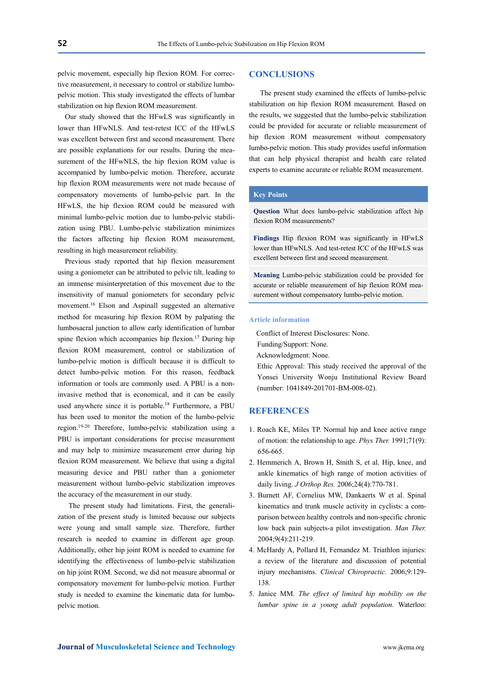pelvic movement, especially hip flexion ROM. For corrective measurement, it necessary to control or stabilize lumbopelvic motion. This study investigated the effects of lumbar stabilization on hip flexion ROM measurement.

Our study showed that the HFwLS was significantly in lower than HFwNLS. And test-retest ICC of the HFwLS was excellent between first and second measurement. There are possible explanations for our results. During the measurement of the HFwNLS, the hip flexion ROM value is accompanied by lumbo-pelvic motion. Therefore, accurate hip flexion ROM measurements were not made because of compensatory movements of lumbo-pelvic part. In the HFwLS, the hip flexion ROM could be measured with minimal lumbo-pelvic motion due to lumbo-pelvic stabilization using PBU. Lumbo-pelvic stabilization minimizes the factors affecting hip flexion ROM measurement, resulting in high measurement reliability.

Previous study reported that hip flexion measurement using a goniometer can be attributed to pelvic tilt, leading to an immense misinterpretation of this movement due to the insensitivity of manual goniometers for secondary pelvic movement.16 Elson and Aspinall suggested an alternative method for measuring hip flexion ROM by palpating the lumbosacral junction to allow early identification of lumbar spine flexion which accompanies hip flexion.<sup>17</sup> During hip flexion ROM measurement, control or stabilization of lumbo-pelvic motion is difficult because it is difficult to detect lumbo-pelvic motion. For this reason, feedback information or tools are commonly used. A PBU is a noninvasive method that is economical, and it can be easily used anywhere since it is portable.<sup>18</sup> Furthermore, a PBU has been used to monitor the motion of the lumbo-pelvic region.19-20 Therefore, lumbo-pelvic stabilization using a PBU is important considerations for precise measurement and may help to minimize measurement error during hip flexion ROM measurement. We believe that using a digital measuring device and PBU rather than a goniometer measurement without lumbo-pelvic stabilization improves the accuracy of the measurement in our study.

 The present study had limitations. First, the generalization of the present study is limited because our subjects were young and small sample size. Therefore, further research is needed to examine in different age group. Additionally, other hip joint ROM is needed to examine for identifying the effectiveness of lumbo-pelvic stabilization on hip joint ROM. Second, we did not measure abnormal or compensatory movement for lumbo-pelvic motion. Further study is needed to examine the kinematic data for lumbopelvic motion.

## **CONCLUSIONS**

The present study examined the effects of lumbo-pelvic stabilization on hip flexion ROM measurement. Based on the results, we suggested that the lumbo-pelvic stabilization could be provided for accurate or reliable measurement of hip flexion ROM measurement without compensatory lumbo-pelvic motion. This study provides useful information that can help physical therapist and health care related experts to examine accurate or reliable ROM measurement.

# **Key Points**

**Question** What does lumbo-pelvic stabilization affect hip flexion ROM measurements?

**Findings** Hip flexion ROM was significantly in HFwLS lower than HFwNLS. And test-retest ICC of the HFwLS was excellent between first and second measurement.

**Meaning** Lumbo-pelvic stabilization could be provided for accurate or reliable measurement of hip flexion ROM measurement without compensatory lumbo-pelvic motion.

#### **Article information**

Conflict of Interest Disclosures: None.

Funding/Support: None.

Acknowledgment: None.

Ethic Approval: This study received the approval of the Yonsei University Wonju Institutional Review Board (number: 1041849-201701-BM-008-02).

## **REFERENCES**

- 1. Roach KE, Miles TP. Normal hip and knee active range of motion: the relationship to age. *Phys Ther.* 1991;71(9): 656-665.
- 2. Hemmerich A, Brown H, Smith S, et al. Hip, knee, and ankle kinematics of high range of motion activities of daily living. *J Orthop Res.* 2006;24(4):770-781.
- 3. Burnett AF, Cornelius MW, Dankaerts W et al. Spinal kinematics and trunk muscle activity in cyclists: a comparison between healthy controls and non-specific chronic low back pain subjects-a pilot investigation. *Man Ther.* 2004;9(4):211-219.
- 4. McHardy A, Pollard H, Fernandez M. Triathlon injuries: a review of the literature and discussion of potential injury mechanisms. *Clinical Chiropractic.* 2006;9:129- 138.
- 5. Janice MM. *The effect of limited hip mobility on the lumbar spine in a young adult population*. Waterloo: